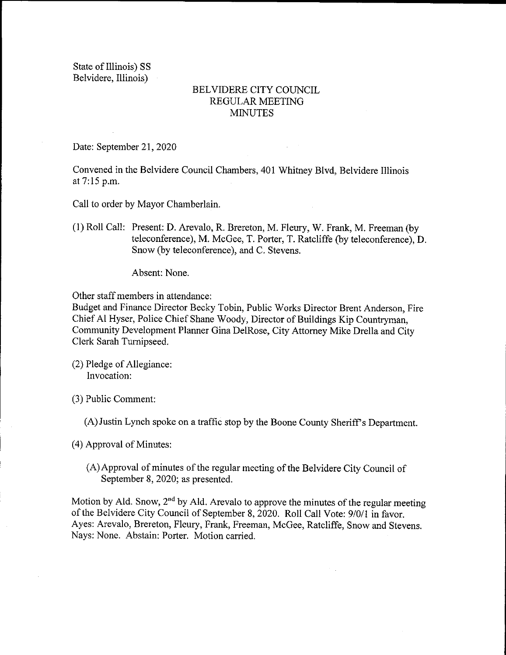State of Illinois) SS Belvidere, Illinois)

## BELVIDERE CITY COUNCIL REGULAR MEETING MINUTES

Date: September 21, 2020

Convened in the Belvidere Council Chambers, 401 Whitney Blvd, Belvidere Illinois at 7: 15 p.m.

Call to order by Mayor Chamberlain.

1) Roll Call: Present: D. Arevalo, R. Brereton, M. Fleury, W. Frank, M. Freeman( by teleconference), M. McGee, T. Porter, T. Ratcliffe (by teleconference), D. Snow( by teleconference), and C. Stevens.

Absent: None.

Other staff members in attendance:

Budget and Finance Director Becky Tobin, Public Works Director Brent Anderson, Fire Chief Al Hyser, Police Chief Shane Woody, Director of Buildings Kip Countryman, Community Development Planner Gina DelRose, City Attorney Mike Drella and City Clerk Sarah Turnipseed.

2) Pledge of Allegiance: Invocation:

3) Public Comment:

A) Justin Lynch spoke on a traffic stop by the Boone County Sheriff' <sup>s</sup> Department.

4) Approval of Minutes:

A)Approval of minutes of the regular meeting of the Belvidere City Council of September 8, 2020; as presented.

Motion by Ald. Snow,  $2<sup>nd</sup>$  by Ald. Arevalo to approve the minutes of the regular meeting of the Belvidere City Council of September 8, 2020. Roll Call Vote: 9/0/1 in favor. Ayes: Arevalo, Brereton, Fleury, Frank, Freeman, McGee, Ratcliffe, Snow and Stevens. Nays: None. Abstain: Porter. Motion carried.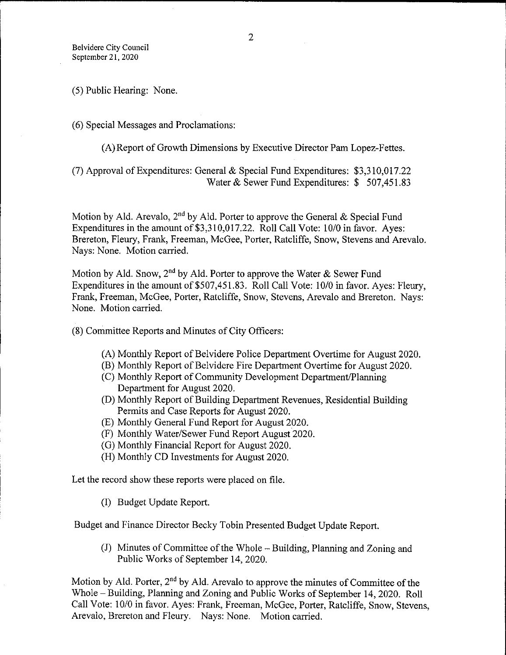5) Public Hearing: None.

6) Special Messages and Proclamations:

A) Report of Growth Dimensions by Executive Director Pam Lopez-Fettes.

7) Approval of Expenditures: General & Special Fund Expenditures: \$ 3, 310,017.22 Water & Sewer Fund Expenditures: \$ 507,451.83

Motion by Ald. Arevalo,  $2<sup>nd</sup>$  by Ald. Porter to approve the General & Special Fund Expenditures in the amount of \$3,310,017.22. Roll Call Vote: 10/0 in favor. Ayes: Brereton, Fleury, Frank, Freeman, McGee, Porter, Ratcliffe, Snow, Stevens and Arevalo. Nays: None. Motion carried.

Motion by Ald. Snow,  $2^{nd}$  by Ald. Porter to approve the Water & Sewer Fund Expenditures in the amount of \$507, 451.83. Roll Call Vote: 10/0 in favor. Ayes: Fleury, Frank, Freeman, McGee, Porter, Ratcliffe, Snow, Stevens, Arevalo and Brereton. Nays: None. Motion carried.

8) Committee Reports and Minutes of City Officers:

- A) Monthly Report of Belvidere Police Department Overtime for August 2020.
- B) Monthly Report of Belvidere Fire Department Overtime for August 2020.
- C) Monthly Report of Community Development Department/ Planning Department for August 2020.
- D) Monthly Report of Building Department Revenues, Residential Building Permits and Case Reports for August 2020.
- E) Monthly General Fund Report for August 2020.
- (F) Monthly Water/Sewer Fund Report August 2020.
- G) Monthly Financial Report for August 2020.
- H) Monthly CD Investments for August 2020.

Let the record show these reports were placed on file.

I) Budget Update Report.

Budget and Finance Director Becky Tobin Presented Budget Update Report.

J) Minutes of Committee of the Whole— Building, Planning and Zoning and Public Works of September 14, 2020.

Motion by Ald. Porter,  $2<sup>nd</sup>$  by Ald. Arevalo to approve the minutes of Committee of the Whole— Building, Planning and Zoning and Public Works of September 14, 2020. Roll Call Vote: 10/0 in favor. Ayes: Frank, Freeman, McGee, Porter, Ratcliffe, Snow, Stevens, Arevalo, Brereton and Fleury. Nays: None. Motion carried.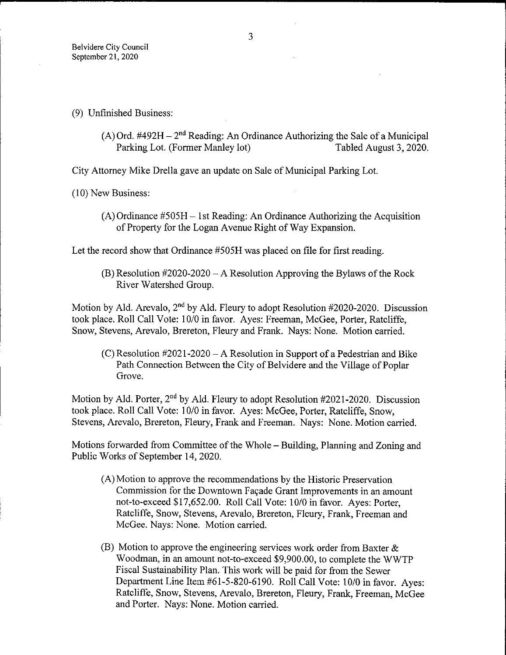- 9) Unfinished Business:
	- (A) Ord. #492H  $2<sup>nd</sup>$  Reading: An Ordinance Authorizing the Sale of a Municipal<br>Parking Lot. (Former Manley lot) Tabled August 3, 2020. Parking Lot. (Former Manley lot)

City Attorney Mike Drella gave an update on Sale of Municipal Parking Lot.

10) New Business:

 $(A)$  Ordinance #505H – 1 st Reading: An Ordinance Authorizing the Acquisition of Property for the Logan Avenue Right of Way Expansion.

Let the record show that Ordinance #505H was placed on file for first reading.

 $(B)$  Resolution #2020-2020 – A Resolution Approving the Bylaws of the Rock River Watershed Group.

Motion by Ald. Arevalo,  $2<sup>nd</sup>$  by Ald. Fleury to adopt Resolution #2020-2020. Discussion took place. Roll Call Vote: 10/0 in favor. Ayes: Freeman, McGee, Porter, Ratcliffe, Snow, Stevens, Arevalo, Brereton, Fleury and Frank. Nays: None. Motion carried.

 $(C)$  Resolution #2021-2020 – A Resolution in Support of a Pedestrian and Bike Path Connection Between the City of Belvidere and the Village of Poplar Grove.

Motion by Ald. Porter,  $2<sup>nd</sup>$  by Ald. Fleury to adopt Resolution #2021-2020. Discussion took place. Roll Call Vote: 10/0 in favor. Ayes: McGee, Porter, Ratcliffe, Snow, Stevens, Arevalo, Brereton, Fleury, Frank and Freeman. Nays: None. Motion carried.

Motions forwarded from Committee of the Whole— Building, Planning and Zoning and Public Works of September 14, 2020.

- A) Motion to approve the recommendations by the Historic Preservation Commission for the Downtown Fapade Grant Improvements in an amount not-to-exceed \$17,652.00. Roll Call Vote: 10/0 in favor. Ayes: Porter, Ratcliffe, Snow, Stevens, Arevalo, Brereton, Fleury, Frank, Freeman and McGee. Nays: None. Motion carried.
- (B) Motion to approve the engineering services work order from Baxter  $\&$ Woodman, in an amount not-to-exceed \$9,900.00, to complete the WWTP Fiscal Sustainability Plan. This work will be paid for from the Sewer Department Line Item # 61- 5- 820- 6190. Roll Call Vote: 10/0 in favor. Ayes: Ratcliffe, Snow, Stevens, Arevalo, Brereton, Fleury, Frank, Freeman, McGee and Porter. Nays: None. Motion carried.